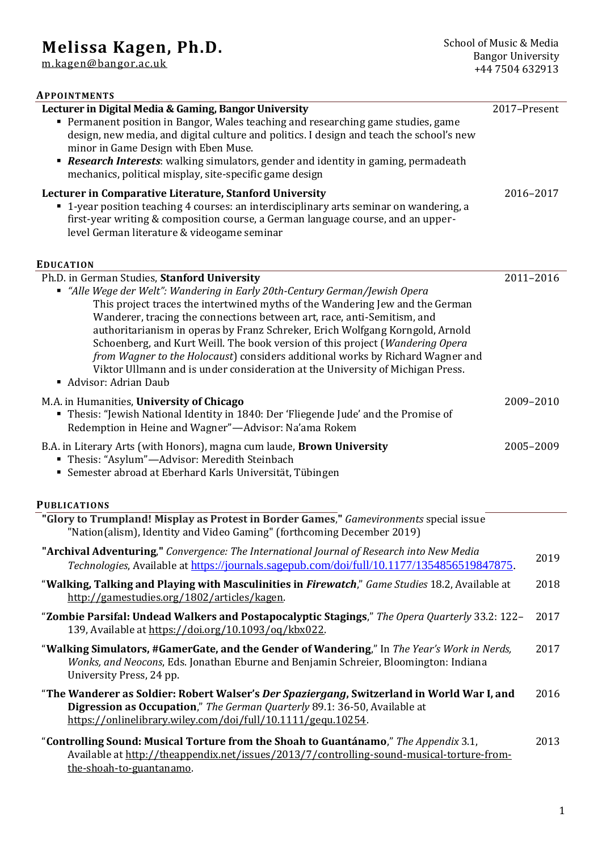# **Melissa Kagen, Ph.D.**

[m.kagen@bangor.ac.uk](mailto:m.kagen@bangor.ac.uk)

| <b>APPOINTMENTS</b>                                                                                                                                                                                                                                                                                                                                                                                                                                                                                                                                                                                                                                   |              |           |
|-------------------------------------------------------------------------------------------------------------------------------------------------------------------------------------------------------------------------------------------------------------------------------------------------------------------------------------------------------------------------------------------------------------------------------------------------------------------------------------------------------------------------------------------------------------------------------------------------------------------------------------------------------|--------------|-----------|
| Lecturer in Digital Media & Gaming, Bangor University<br>• Permanent position in Bangor, Wales teaching and researching game studies, game<br>design, new media, and digital culture and politics. I design and teach the school's new<br>minor in Game Design with Eben Muse.<br>• Research Interests: walking simulators, gender and identity in gaming, permadeath<br>mechanics, political misplay, site-specific game design                                                                                                                                                                                                                      | 2017-Present |           |
| Lecturer in Comparative Literature, Stanford University<br>• 1-year position teaching 4 courses: an interdisciplinary arts seminar on wandering, a<br>first-year writing & composition course, a German language course, and an upper-<br>level German literature & videogame seminar                                                                                                                                                                                                                                                                                                                                                                 |              | 2016-2017 |
| <b>EDUCATION</b>                                                                                                                                                                                                                                                                                                                                                                                                                                                                                                                                                                                                                                      |              |           |
| Ph.D. in German Studies, Stanford University<br>" "Alle Wege der Welt": Wandering in Early 20th-Century German/Jewish Opera<br>This project traces the intertwined myths of the Wandering Jew and the German<br>Wanderer, tracing the connections between art, race, anti-Semitism, and<br>authoritarianism in operas by Franz Schreker, Erich Wolfgang Korngold, Arnold<br>Schoenberg, and Kurt Weill. The book version of this project (Wandering Opera<br>from Wagner to the Holocaust) considers additional works by Richard Wagner and<br>Viktor Ullmann and is under consideration at the University of Michigan Press.<br>Advisor: Adrian Daub |              | 2011-2016 |
| M.A. in Humanities, University of Chicago<br><b>Thesis: "Jewish National Identity in 1840: Der 'Fliegende Jude' and the Promise of</b><br>Redemption in Heine and Wagner"-Advisor: Na'ama Rokem                                                                                                                                                                                                                                                                                                                                                                                                                                                       |              | 2009-2010 |
| B.A. in Literary Arts (with Honors), magna cum laude, Brown University<br>Thesis: "Asylum"-Advisor: Meredith Steinbach<br>• Semester abroad at Eberhard Karls Universität, Tübingen                                                                                                                                                                                                                                                                                                                                                                                                                                                                   |              | 2005-2009 |
| <b>PUBLICATIONS</b>                                                                                                                                                                                                                                                                                                                                                                                                                                                                                                                                                                                                                                   |              |           |
| "Glory to Trumpland! Misplay as Protest in Border Games," Gamevironments special issue<br>"Nation(alism), Identity and Video Gaming" (forthcoming December 2019)                                                                                                                                                                                                                                                                                                                                                                                                                                                                                      |              |           |
| "Archival Adventuring," Convergence: The International Journal of Research into New Media<br>Technologies, Available at https://journals.sagepub.com/doi/full/10.1177/1354856519847875.                                                                                                                                                                                                                                                                                                                                                                                                                                                               |              | 2019      |
| "Walking, Talking and Playing with Masculinities in Firewatch," Game Studies 18.2, Available at<br>http://gamestudies.org/1802/articles/kagen.                                                                                                                                                                                                                                                                                                                                                                                                                                                                                                        |              | 2018      |
| "Zombie Parsifal: Undead Walkers and Postapocalyptic Stagings," The Opera Quarterly 33.2: 122-<br>139, Available at https://doi.org/10.1093/oq/kbx022.                                                                                                                                                                                                                                                                                                                                                                                                                                                                                                |              | 2017      |
| "Walking Simulators, #GamerGate, and the Gender of Wandering," In The Year's Work in Nerds,<br>Wonks, and Neocons, Eds. Jonathan Eburne and Benjamin Schreier, Bloomington: Indiana<br>University Press, 24 pp.                                                                                                                                                                                                                                                                                                                                                                                                                                       |              | 2017      |
| "The Wanderer as Soldier: Robert Walser's Der Spaziergang, Switzerland in World War I, and<br>Digression as Occupation," The German Quarterly 89.1: 36-50, Available at<br>https://onlinelibrary.wiley.com/doi/full/10.1111/gequ.10254.                                                                                                                                                                                                                                                                                                                                                                                                               |              | 2016      |
| "Controlling Sound: Musical Torture from the Shoah to Guantánamo," The Appendix 3.1,                                                                                                                                                                                                                                                                                                                                                                                                                                                                                                                                                                  |              | 2013      |

| Controlling Sound: Musical Torture from the Shoan to Guantanamo, The Appendix 3.1,        | 2013 |
|-------------------------------------------------------------------------------------------|------|
| Available at http://theappendix.net/issues/2013/7/controlling-sound-musical-torture-from- |      |
| the-shoah-to-guantanamo.                                                                  |      |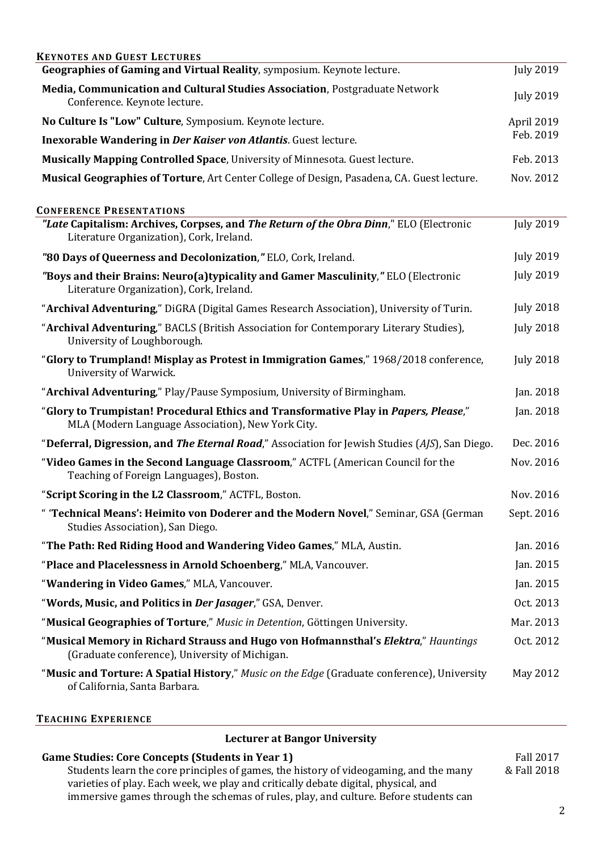| <b>KEYNOTES AND GUEST LECTURES</b>                                                                                                       |                  |
|------------------------------------------------------------------------------------------------------------------------------------------|------------------|
| Geographies of Gaming and Virtual Reality, symposium. Keynote lecture.                                                                   | <b>July 2019</b> |
| Media, Communication and Cultural Studies Association, Postgraduate Network<br>Conference. Keynote lecture.                              | <b>July 2019</b> |
| No Culture Is "Low" Culture, Symposium. Keynote lecture.                                                                                 | April 2019       |
| Inexorable Wandering in Der Kaiser von Atlantis. Guest lecture.                                                                          | Feb. 2019        |
| Musically Mapping Controlled Space, University of Minnesota. Guest lecture.                                                              | Feb. 2013        |
| Musical Geographies of Torture, Art Center College of Design, Pasadena, CA. Guest lecture.                                               | Nov. 2012        |
| <b>CONFERENCE PRESENTATIONS</b>                                                                                                          |                  |
| "Late Capitalism: Archives, Corpses, and The Return of the Obra Dinn," ELO (Electronic<br>Literature Organization), Cork, Ireland.       | <b>July 2019</b> |
| "80 Days of Queerness and Decolonization," ELO, Cork, Ireland.                                                                           | <b>July 2019</b> |
| "Boys and their Brains: Neuro(a)typicality and Gamer Masculinity," ELO (Electronic<br>Literature Organization), Cork, Ireland.           | <b>July 2019</b> |
| "Archival Adventuring," DiGRA (Digital Games Research Association), University of Turin.                                                 | <b>July 2018</b> |
| "Archival Adventuring," BACLS (British Association for Contemporary Literary Studies),<br>University of Loughborough.                    | <b>July 2018</b> |
| "Glory to Trumpland! Misplay as Protest in Immigration Games," 1968/2018 conference,<br>University of Warwick.                           | <b>July 2018</b> |
| "Archival Adventuring," Play/Pause Symposium, University of Birmingham.                                                                  | Jan. 2018        |
| "Glory to Trumpistan! Procedural Ethics and Transformative Play in Papers, Please,"<br>MLA (Modern Language Association), New York City. | Jan. 2018        |
| "Deferral, Digression, and The Eternal Road," Association for Jewish Studies (AJS), San Diego.                                           | Dec. 2016        |
| "Video Games in the Second Language Classroom," ACTFL (American Council for the<br>Teaching of Foreign Languages), Boston.               | Nov. 2016        |
| "Script Scoring in the L2 Classroom," ACTFL, Boston.                                                                                     | Nov. 2016        |
| " 'Technical Means': Heimito von Doderer and the Modern Novel," Seminar, GSA (German<br>Studies Association), San Diego.                 | Sept. 2016       |
| "The Path: Red Riding Hood and Wandering Video Games," MLA, Austin.                                                                      | Jan. 2016        |
| "Place and Placelessness in Arnold Schoenberg," MLA, Vancouver.                                                                          | Jan. 2015        |
| "Wandering in Video Games," MLA, Vancouver.                                                                                              | Jan. 2015        |
| "Words, Music, and Politics in Der Jasager," GSA, Denver.                                                                                | Oct. 2013        |
| "Musical Geographies of Torture," Music in Detention, Göttingen University.                                                              | Mar. 2013        |
| "Musical Memory in Richard Strauss and Hugo von Hofmannsthal's Elektra," Hauntings<br>(Graduate conference), University of Michigan.     | Oct. 2012        |
| "Music and Torture: A Spatial History," Music on the Edge (Graduate conference), University<br>of California, Santa Barbara.             | May 2012         |

#### **TEACHING EXPERIENCE**

#### **Lecturer at Bangor University**

## **Game Studies: Core Concepts (Students in Year 1)**

Students learn the core principles of games, the history of videogaming, and the many varieties of play. Each week, we play and critically debate digital, physical, and immersive games through the schemas of rules, play, and culture. Before students can

Fall 2017 & Fall 2018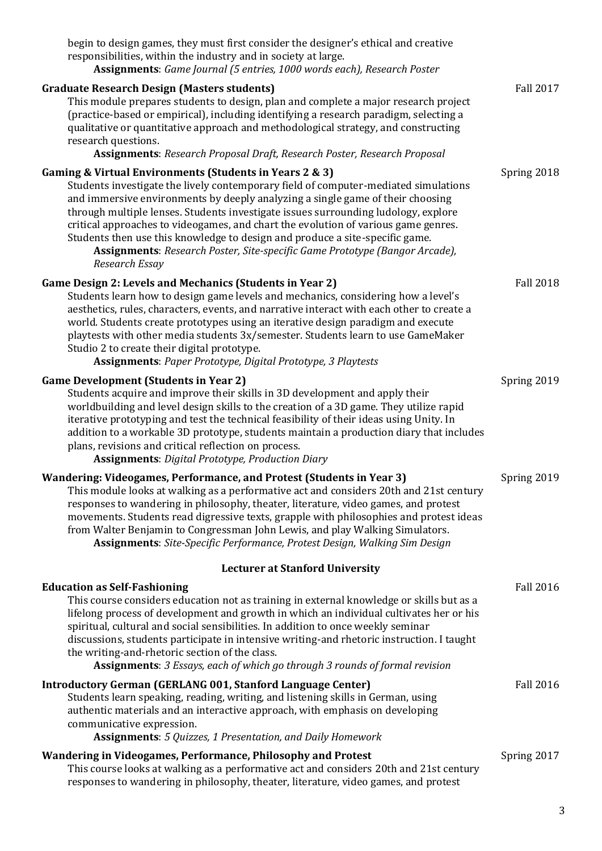| begin to design games, they must first consider the designer's ethical and creative<br>responsibilities, within the industry and in society at large.<br>Assignments: Game Journal (5 entries, 1000 words each), Research Poster                                                                                                                                                                                                                                                                                                                                                              |                  |
|-----------------------------------------------------------------------------------------------------------------------------------------------------------------------------------------------------------------------------------------------------------------------------------------------------------------------------------------------------------------------------------------------------------------------------------------------------------------------------------------------------------------------------------------------------------------------------------------------|------------------|
| <b>Graduate Research Design (Masters students)</b><br>This module prepares students to design, plan and complete a major research project<br>(practice-based or empirical), including identifying a research paradigm, selecting a<br>qualitative or quantitative approach and methodological strategy, and constructing<br>research questions.<br><b>Assignments: Research Proposal Draft, Research Poster, Research Proposal</b>                                                                                                                                                            | <b>Fall 2017</b> |
| Gaming & Virtual Environments (Students in Years 2 & 3)<br>Students investigate the lively contemporary field of computer-mediated simulations<br>and immersive environments by deeply analyzing a single game of their choosing<br>through multiple lenses. Students investigate issues surrounding ludology, explore<br>critical approaches to videogames, and chart the evolution of various game genres.<br>Students then use this knowledge to design and produce a site-specific game.<br>Assignments: Research Poster, Site-specific Game Prototype (Bangor Arcade),<br>Research Essay | Spring 2018      |
| Game Design 2: Levels and Mechanics (Students in Year 2)<br>Students learn how to design game levels and mechanics, considering how a level's<br>aesthetics, rules, characters, events, and narrative interact with each other to create a<br>world. Students create prototypes using an iterative design paradigm and execute<br>playtests with other media students 3x/semester. Students learn to use GameMaker<br>Studio 2 to create their digital prototype.<br>Assignments: Paper Prototype, Digital Prototype, 3 Playtests                                                             | <b>Fall 2018</b> |
| <b>Game Development (Students in Year 2)</b><br>Students acquire and improve their skills in 3D development and apply their<br>worldbuilding and level design skills to the creation of a 3D game. They utilize rapid<br>iterative prototyping and test the technical feasibility of their ideas using Unity. In<br>addition to a workable 3D prototype, students maintain a production diary that includes<br>plans, revisions and critical reflection on process.<br><b>Assignments: Digital Prototype, Production Diary</b>                                                                | Spring 2019      |
| Wandering: Videogames, Performance, and Protest (Students in Year 3)<br>This module looks at walking as a performative act and considers 20th and 21st century<br>responses to wandering in philosophy, theater, literature, video games, and protest<br>movements. Students read digressive texts, grapple with philosophies and protest ideas<br>from Walter Benjamin to Congressman John Lewis, and play Walking Simulators.<br>Assignments: Site-Specific Performance, Protest Design, Walking Sim Design                                                                                 | Spring 2019      |
| <b>Lecturer at Stanford University</b>                                                                                                                                                                                                                                                                                                                                                                                                                                                                                                                                                        |                  |
| <b>Education as Self-Fashioning</b><br>This course considers education not as training in external knowledge or skills but as a<br>lifelong process of development and growth in which an individual cultivates her or his<br>spiritual, cultural and social sensibilities. In addition to once weekly seminar<br>discussions, students participate in intensive writing-and rhetoric instruction. I taught<br>the writing-and-rhetoric section of the class.                                                                                                                                 | <b>Fall 2016</b> |
| Assignments: 3 Essays, each of which go through 3 rounds of formal revision<br><b>Introductory German (GERLANG 001, Stanford Language Center)</b><br>Students learn speaking, reading, writing, and listening skills in German, using<br>authentic materials and an interactive approach, with emphasis on developing<br>communicative expression.<br><b>Assignments:</b> 5 Quizzes, 1 Presentation, and Daily Homework                                                                                                                                                                       | <b>Fall 2016</b> |
| Wandering in Videogames, Performance, Philosophy and Protest<br>This course looks at walking as a performative act and considers 20th and 21st century<br>responses to wandering in philosophy, theater, literature, video games, and protest                                                                                                                                                                                                                                                                                                                                                 | Spring 2017      |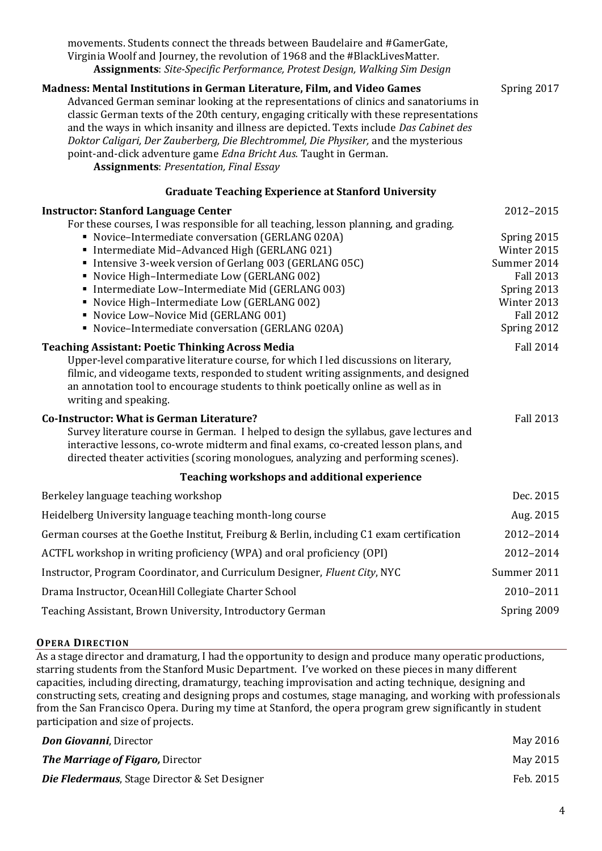| movements. Students connect the threads between Baudelaire and #GamerGate,<br>Virginia Woolf and Journey, the revolution of 1968 and the #BlackLivesMatter.<br>Assignments: Site-Specific Performance, Protest Design, Walking Sim Design                                                                                                                                                                                                                                                                                                                           |                                                                                                                                |
|---------------------------------------------------------------------------------------------------------------------------------------------------------------------------------------------------------------------------------------------------------------------------------------------------------------------------------------------------------------------------------------------------------------------------------------------------------------------------------------------------------------------------------------------------------------------|--------------------------------------------------------------------------------------------------------------------------------|
| Madness: Mental Institutions in German Literature, Film, and Video Games<br>Advanced German seminar looking at the representations of clinics and sanatoriums in<br>classic German texts of the 20th century, engaging critically with these representations<br>and the ways in which insanity and illness are depicted. Texts include Das Cabinet des<br>Doktor Caligari, Der Zauberberg, Die Blechtrommel, Die Physiker, and the mysterious<br>point-and-click adventure game Edna Bricht Aus. Taught in German.<br><b>Assignments: Presentation, Final Essay</b> | Spring 2017                                                                                                                    |
| <b>Graduate Teaching Experience at Stanford University</b>                                                                                                                                                                                                                                                                                                                                                                                                                                                                                                          |                                                                                                                                |
| <b>Instructor: Stanford Language Center</b>                                                                                                                                                                                                                                                                                                                                                                                                                                                                                                                         | 2012-2015                                                                                                                      |
| For these courses, I was responsible for all teaching, lesson planning, and grading.<br>• Novice-Intermediate conversation (GERLANG 020A)<br>• Intermediate Mid-Advanced High (GERLANG 021)<br>Intensive 3-week version of Gerlang 003 (GERLANG 05C)<br>• Novice High-Intermediate Low (GERLANG 002)<br>• Intermediate Low-Intermediate Mid (GERLANG 003)<br>• Novice High-Intermediate Low (GERLANG 002)<br>Novice Low-Novice Mid (GERLANG 001)<br>• Novice-Intermediate conversation (GERLANG 020A)                                                               | Spring 2015<br>Winter 2015<br>Summer 2014<br><b>Fall 2013</b><br>Spring 2013<br>Winter 2013<br><b>Fall 2012</b><br>Spring 2012 |
| <b>Teaching Assistant: Poetic Thinking Across Media</b><br>Upper-level comparative literature course, for which I led discussions on literary,<br>filmic, and videogame texts, responded to student writing assignments, and designed<br>an annotation tool to encourage students to think poetically online as well as in<br>writing and speaking.                                                                                                                                                                                                                 | <b>Fall 2014</b>                                                                                                               |
| <b>Co-Instructor: What is German Literature?</b><br>Survey literature course in German. I helped to design the syllabus, gave lectures and<br>interactive lessons, co-wrote midterm and final exams, co-created lesson plans, and<br>directed theater activities (scoring monologues, analyzing and performing scenes).                                                                                                                                                                                                                                             | <b>Fall 2013</b>                                                                                                               |
| Teaching workshops and additional experience                                                                                                                                                                                                                                                                                                                                                                                                                                                                                                                        |                                                                                                                                |
| Berkeley language teaching workshop                                                                                                                                                                                                                                                                                                                                                                                                                                                                                                                                 | Dec. 2015                                                                                                                      |
| Heidelberg University language teaching month-long course                                                                                                                                                                                                                                                                                                                                                                                                                                                                                                           | Aug. 2015                                                                                                                      |
| German courses at the Goethe Institut, Freiburg & Berlin, including C1 exam certification                                                                                                                                                                                                                                                                                                                                                                                                                                                                           | 2012-2014                                                                                                                      |
| ACTFL workshop in writing proficiency (WPA) and oral proficiency (OPI)                                                                                                                                                                                                                                                                                                                                                                                                                                                                                              | 2012-2014                                                                                                                      |
| Instructor, Program Coordinator, and Curriculum Designer, Fluent City, NYC                                                                                                                                                                                                                                                                                                                                                                                                                                                                                          | Summer 2011                                                                                                                    |
| Drama Instructor, OceanHill Collegiate Charter School                                                                                                                                                                                                                                                                                                                                                                                                                                                                                                               | 2010-2011                                                                                                                      |
| Teaching Assistant, Brown University, Introductory German                                                                                                                                                                                                                                                                                                                                                                                                                                                                                                           | Spring 2009                                                                                                                    |

## **OPERA DIRECTION**

As a stage director and dramaturg, I had the opportunity to design and produce many operatic productions, starring students from the Stanford Music Department. I've worked on these pieces in many different capacities, including directing, dramaturgy, teaching improvisation and acting technique, designing and constructing sets, creating and designing props and costumes, stage managing, and working with professionals from the San Francisco Opera. During my time at Stanford, the opera program grew significantly in student participation and size of projects.

| <b>Don Giovanni</b> , Director                           | May 2016  |
|----------------------------------------------------------|-----------|
| <b>The Marriage of Figaro, Director</b>                  | May 2015  |
| <b>Die Fledermaus, Stage Director &amp; Set Designer</b> | Feb. 2015 |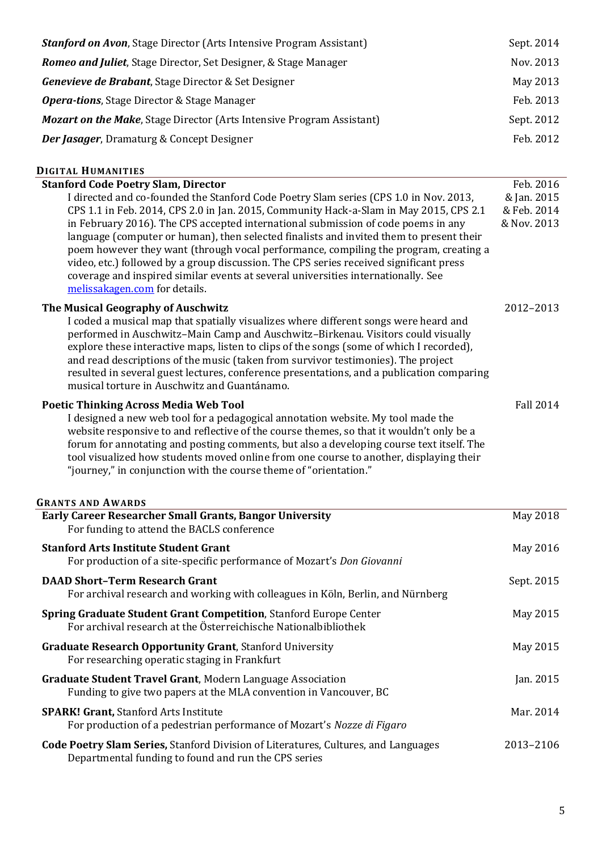| <b>Stanford on Avon, Stage Director (Arts Intensive Program Assistant)</b>                                                                                                                                                                                                                                                                                                                                                                                                                                                                                                                                                                                              | Sept. 2014                                |
|-------------------------------------------------------------------------------------------------------------------------------------------------------------------------------------------------------------------------------------------------------------------------------------------------------------------------------------------------------------------------------------------------------------------------------------------------------------------------------------------------------------------------------------------------------------------------------------------------------------------------------------------------------------------------|-------------------------------------------|
| Romeo and Juliet, Stage Director, Set Designer, & Stage Manager                                                                                                                                                                                                                                                                                                                                                                                                                                                                                                                                                                                                         | Nov. 2013                                 |
| Genevieve de Brabant, Stage Director & Set Designer                                                                                                                                                                                                                                                                                                                                                                                                                                                                                                                                                                                                                     | May 2013                                  |
| <b>Opera-tions, Stage Director &amp; Stage Manager</b>                                                                                                                                                                                                                                                                                                                                                                                                                                                                                                                                                                                                                  | Feb. 2013                                 |
| <b>Mozart on the Make, Stage Director (Arts Intensive Program Assistant)</b>                                                                                                                                                                                                                                                                                                                                                                                                                                                                                                                                                                                            | Sept. 2012                                |
| Der Jasager, Dramaturg & Concept Designer                                                                                                                                                                                                                                                                                                                                                                                                                                                                                                                                                                                                                               | Feb. 2012                                 |
|                                                                                                                                                                                                                                                                                                                                                                                                                                                                                                                                                                                                                                                                         |                                           |
| <b>DIGITAL HUMANITIES</b><br><b>Stanford Code Poetry Slam, Director</b>                                                                                                                                                                                                                                                                                                                                                                                                                                                                                                                                                                                                 | Feb. 2016                                 |
| I directed and co-founded the Stanford Code Poetry Slam series (CPS 1.0 in Nov. 2013,<br>CPS 1.1 in Feb. 2014, CPS 2.0 in Jan. 2015, Community Hack-a-Slam in May 2015, CPS 2.1<br>in February 2016). The CPS accepted international submission of code poems in any<br>language (computer or human), then selected finalists and invited them to present their<br>poem however they want (through vocal performance, compiling the program, creating a<br>video, etc.) followed by a group discussion. The CPS series received significant press<br>coverage and inspired similar events at several universities internationally. See<br>melissakagen.com for details. | & Jan. 2015<br>& Feb. 2014<br>& Nov. 2013 |
| The Musical Geography of Auschwitz<br>I coded a musical map that spatially visualizes where different songs were heard and<br>performed in Auschwitz-Main Camp and Auschwitz-Birkenau. Visitors could visually<br>explore these interactive maps, listen to clips of the songs (some of which I recorded),<br>and read descriptions of the music (taken from survivor testimonies). The project<br>resulted in several guest lectures, conference presentations, and a publication comparing<br>musical torture in Auschwitz and Guantánamo.                                                                                                                            | 2012-2013                                 |
| <b>Poetic Thinking Across Media Web Tool</b><br>I designed a new web tool for a pedagogical annotation website. My tool made the<br>website responsive to and reflective of the course themes, so that it wouldn't only be a<br>forum for annotating and posting comments, but also a developing course text itself. The<br>tool visualized how students moved online from one course to another, displaying their<br>"journey," in conjunction with the course theme of "orientation."                                                                                                                                                                                 | <b>Fall 2014</b>                          |
|                                                                                                                                                                                                                                                                                                                                                                                                                                                                                                                                                                                                                                                                         |                                           |
| <b>GRANTS AND AWARDS</b>                                                                                                                                                                                                                                                                                                                                                                                                                                                                                                                                                                                                                                                |                                           |
| Early Career Researcher Small Grants, Bangor University                                                                                                                                                                                                                                                                                                                                                                                                                                                                                                                                                                                                                 | May 2018                                  |
| For funding to attend the BACLS conference<br><b>Stanford Arts Institute Student Grant</b><br>For production of a site-specific performance of Mozart's Don Giovanni                                                                                                                                                                                                                                                                                                                                                                                                                                                                                                    | May 2016                                  |
| <b>DAAD Short-Term Research Grant</b><br>For archival research and working with colleagues in Köln, Berlin, and Nürnberg                                                                                                                                                                                                                                                                                                                                                                                                                                                                                                                                                | Sept. 2015                                |
| Spring Graduate Student Grant Competition, Stanford Europe Center<br>For archival research at the Österreichische Nationalbibliothek                                                                                                                                                                                                                                                                                                                                                                                                                                                                                                                                    | May 2015                                  |
| <b>Graduate Research Opportunity Grant, Stanford University</b><br>For researching operatic staging in Frankfurt                                                                                                                                                                                                                                                                                                                                                                                                                                                                                                                                                        | May 2015                                  |
| <b>Graduate Student Travel Grant, Modern Language Association</b><br>Funding to give two papers at the MLA convention in Vancouver, BC                                                                                                                                                                                                                                                                                                                                                                                                                                                                                                                                  | Jan. 2015                                 |
| <b>SPARK! Grant, Stanford Arts Institute</b><br>For production of a pedestrian performance of Mozart's Nozze di Figaro                                                                                                                                                                                                                                                                                                                                                                                                                                                                                                                                                  | Mar. 2014                                 |

Departmental funding to found and run the CPS series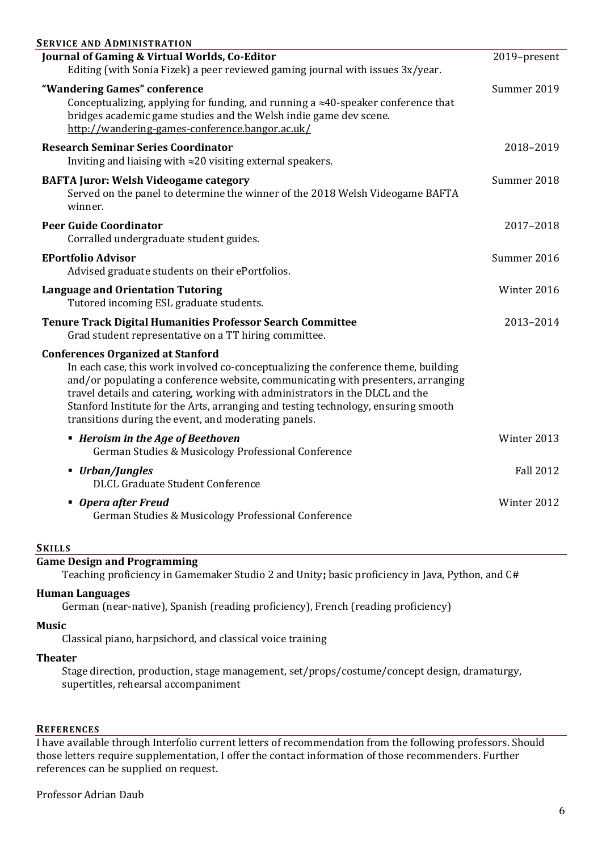| <b>SERVICE AND ADMINISTRATION</b>                                                                                                                                                                                                                                                                                                                                                                                                                |                  |
|--------------------------------------------------------------------------------------------------------------------------------------------------------------------------------------------------------------------------------------------------------------------------------------------------------------------------------------------------------------------------------------------------------------------------------------------------|------------------|
| Journal of Gaming & Virtual Worlds, Co-Editor                                                                                                                                                                                                                                                                                                                                                                                                    | 2019-present     |
| Editing (with Sonia Fizek) a peer reviewed gaming journal with issues 3x/year.                                                                                                                                                                                                                                                                                                                                                                   |                  |
| "Wandering Games" conference                                                                                                                                                                                                                                                                                                                                                                                                                     | Summer 2019      |
| Conceptualizing, applying for funding, and running a $\approx$ 40-speaker conference that<br>bridges academic game studies and the Welsh indie game dev scene.<br>http://wandering-games-conference.bangor.ac.uk/                                                                                                                                                                                                                                |                  |
| <b>Research Seminar Series Coordinator</b>                                                                                                                                                                                                                                                                                                                                                                                                       | 2018-2019        |
| Inviting and liaising with $\approx$ 20 visiting external speakers.                                                                                                                                                                                                                                                                                                                                                                              |                  |
| <b>BAFTA Juror: Welsh Videogame category</b><br>Served on the panel to determine the winner of the 2018 Welsh Videogame BAFTA<br>winner.                                                                                                                                                                                                                                                                                                         | Summer 2018      |
| <b>Peer Guide Coordinator</b><br>Corralled undergraduate student guides.                                                                                                                                                                                                                                                                                                                                                                         | 2017-2018        |
| <b>EPortfolio Advisor</b>                                                                                                                                                                                                                                                                                                                                                                                                                        | Summer 2016      |
| Advised graduate students on their ePortfolios.                                                                                                                                                                                                                                                                                                                                                                                                  |                  |
| <b>Language and Orientation Tutoring</b><br>Tutored incoming ESL graduate students.                                                                                                                                                                                                                                                                                                                                                              | Winter 2016      |
| <b>Tenure Track Digital Humanities Professor Search Committee</b><br>Grad student representative on a TT hiring committee.                                                                                                                                                                                                                                                                                                                       | 2013-2014        |
| <b>Conferences Organized at Stanford</b><br>In each case, this work involved co-conceptualizing the conference theme, building<br>and/or populating a conference website, communicating with presenters, arranging<br>travel details and catering, working with administrators in the DLCL and the<br>Stanford Institute for the Arts, arranging and testing technology, ensuring smooth<br>transitions during the event, and moderating panels. |                  |
| • Heroism in the Age of Beethoven<br>German Studies & Musicology Professional Conference                                                                                                                                                                                                                                                                                                                                                         | Winter 2013      |
| ■ Urban/Jungles<br><b>DLCL Graduate Student Conference</b>                                                                                                                                                                                                                                                                                                                                                                                       | <b>Fall 2012</b> |
| • Opera after Freud<br>German Studies & Musicology Professional Conference                                                                                                                                                                                                                                                                                                                                                                       | Winter 2012      |
| <b>SKILLS</b>                                                                                                                                                                                                                                                                                                                                                                                                                                    |                  |

# **Game Design and Programming**

Teaching proficiency in Gamemaker Studio 2 and Unity**;** basic proficiency in Java, Python, and C#

## **Human Languages**

German (near-native), Spanish (reading proficiency), French (reading proficiency)

**Music**

Classical piano, harpsichord, and classical voice training

#### **Theater**

Stage direction, production, stage management, set/props/costume/concept design, dramaturgy, supertitles, rehearsal accompaniment

#### **REFERENCES**

I have available through Interfolio current letters of recommendation from the following professors. Should those letters require supplementation, I offer the contact information of those recommenders. Further references can be supplied on request.